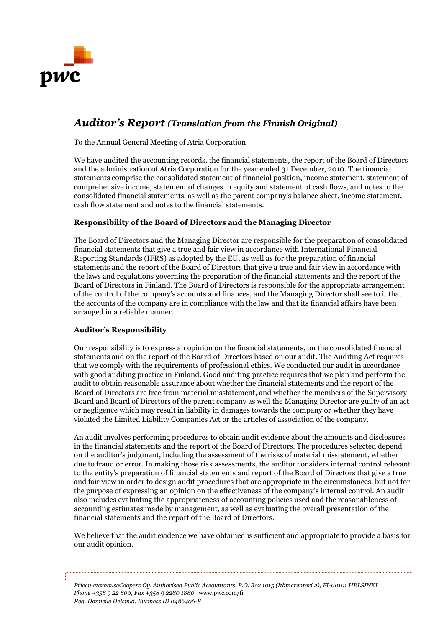

# *Auditor's Report (Translation from the Finnish Original)*

To the Annual General Meeting of Atria Corporation

We have audited the accounting records, the financial statements, the report of the Board of Directors and the administration of Atria Corporation for the year ended 31 December, 2010. The financial statements comprise the consolidated statement of financial position, income statement, statement of comprehensive income, statement of changes in equity and statement of cash flows, and notes to the consolidated financial statements, as well as the parent company's balance sheet, income statement, cash flow statement and notes to the financial statements.

# **Responsibility of the Board of Directors and the Managing Director**

The Board of Directors and the Managing Director are responsible for the preparation of consolidated financial statements that give a true and fair view in accordance with International Financial Reporting Standards (IFRS) as adopted by the EU, as well as for the preparation of financial statements and the report of the Board of Directors that give a true and fair view in accordance with the laws and regulations governing the preparation of the financial statements and the report of the Board of Directors in Finland. The Board of Directors is responsible for the appropriate arrangement of the control of the company's accounts and finances, and the Managing Director shall see to it that the accounts of the company are in compliance with the law and that its financial affairs have been arranged in a reliable manner.

## **Auditor's Responsibility**

Our responsibility is to express an opinion on the financial statements, on the consolidated financial statements and on the report of the Board of Directors based on our audit. The Auditing Act requires that we comply with the requirements of professional ethics. We conducted our audit in accordance with good auditing practice in Finland. Good auditing practice requires that we plan and perform the audit to obtain reasonable assurance about whether the financial statements and the report of the Board of Directors are free from material misstatement, and whether the members of the Supervisory Board and Board of Directors of the parent company as well the Managing Director are guilty of an act or negligence which may result in liability in damages towards the company or whether they have violated the Limited Liability Companies Act or the articles of association of the company.

An audit involves performing procedures to obtain audit evidence about the amounts and disclosures in the financial statements and the report of the Board of Directors. The procedures selected depend on the auditor's judgment, including the assessment of the risks of material misstatement, whether due to fraud or error. In making those risk assessments, the auditor considers internal control relevant to the entity's preparation of financial statements and report of the Board of Directors that give a true and fair view in order to design audit procedures that are appropriate in the circumstances, but not for the purpose of expressing an opinion on the effectiveness of the company's internal control. An audit also includes evaluating the appropriateness of accounting policies used and the reasonableness of accounting estimates made by management, as well as evaluating the overall presentation of the financial statements and the report of the Board of Directors.

We believe that the audit evidence we have obtained is sufficient and appropriate to provide a basis for our audit opinion.

*PricewaterhouseCoopers Oy, Authorised Public Accountants, P.O. Box 1015 (Itämerentori 2), FI-00101 HELSINKI Phone +358 9 22 800, Fax +358 9 2280 1880,* www.pwc.com/fi *Reg. Domicile Helsinki, Business ID 0486406-8*